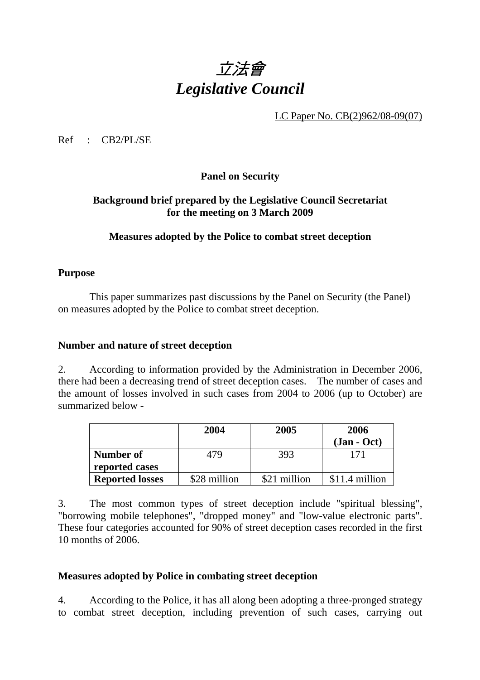# 立法會 *Legislative Council*

LC Paper No. CB(2)962/08-09(07)

Ref : CB2/PL/SE

**Panel on Security** 

### **Background brief prepared by the Legislative Council Secretariat for the meeting on 3 March 2009**

### **Measures adopted by the Police to combat street deception**

#### **Purpose**

 This paper summarizes past discussions by the Panel on Security (the Panel) on measures adopted by the Police to combat street deception.

#### **Number and nature of street deception**

2. According to information provided by the Administration in December 2006, there had been a decreasing trend of street deception cases. The number of cases and the amount of losses involved in such cases from 2004 to 2006 (up to October) are summarized below -

|                        | 2004         | 2005         | 2006<br>$(Jan - Oct)$ |
|------------------------|--------------|--------------|-----------------------|
| Number of              | 479          | 393          | 171                   |
| reported cases         |              |              |                       |
| <b>Reported losses</b> | \$28 million | \$21 million | \$11.4 million        |

3. The most common types of street deception include "spiritual blessing", "borrowing mobile telephones", "dropped money" and "low-value electronic parts". These four categories accounted for 90% of street deception cases recorded in the first 10 months of 2006.

#### **Measures adopted by Police in combating street deception**

4. According to the Police, it has all along been adopting a three-pronged strategy to combat street deception, including prevention of such cases, carrying out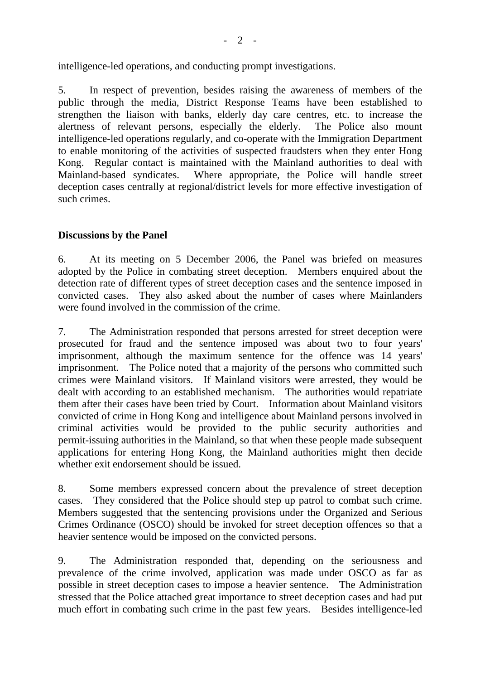intelligence-led operations, and conducting prompt investigations.

5. In respect of prevention, besides raising the awareness of members of the public through the media, District Response Teams have been established to strengthen the liaison with banks, elderly day care centres, etc. to increase the alertness of relevant persons, especially the elderly. The Police also mount intelligence-led operations regularly, and co-operate with the Immigration Department to enable monitoring of the activities of suspected fraudsters when they enter Hong Kong. Regular contact is maintained with the Mainland authorities to deal with Mainland-based syndicates. Where appropriate, the Police will handle street deception cases centrally at regional/district levels for more effective investigation of such crimes.

#### **Discussions by the Panel**

6. At its meeting on 5 December 2006, the Panel was briefed on measures adopted by the Police in combating street deception. Members enquired about the detection rate of different types of street deception cases and the sentence imposed in convicted cases. They also asked about the number of cases where Mainlanders were found involved in the commission of the crime.

7. The Administration responded that persons arrested for street deception were prosecuted for fraud and the sentence imposed was about two to four years' imprisonment, although the maximum sentence for the offence was 14 years' imprisonment. The Police noted that a majority of the persons who committed such crimes were Mainland visitors. If Mainland visitors were arrested, they would be dealt with according to an established mechanism. The authorities would repatriate them after their cases have been tried by Court. Information about Mainland visitors convicted of crime in Hong Kong and intelligence about Mainland persons involved in criminal activities would be provided to the public security authorities and permit-issuing authorities in the Mainland, so that when these people made subsequent applications for entering Hong Kong, the Mainland authorities might then decide whether exit endorsement should be issued.

8. Some members expressed concern about the prevalence of street deception cases. They considered that the Police should step up patrol to combat such crime. Members suggested that the sentencing provisions under the Organized and Serious Crimes Ordinance (OSCO) should be invoked for street deception offences so that a heavier sentence would be imposed on the convicted persons.

9. The Administration responded that, depending on the seriousness and prevalence of the crime involved, application was made under OSCO as far as possible in street deception cases to impose a heavier sentence. The Administration stressed that the Police attached great importance to street deception cases and had put much effort in combating such crime in the past few years. Besides intelligence-led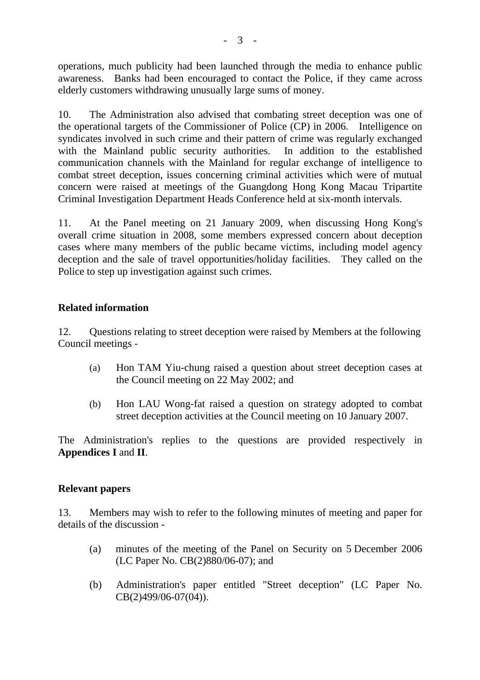operations, much publicity had been launched through the media to enhance public awareness. Banks had been encouraged to contact the Police, if they came across elderly customers withdrawing unusually large sums of money.

10. The Administration also advised that combating street deception was one of the operational targets of the Commissioner of Police (CP) in 2006. Intelligence on syndicates involved in such crime and their pattern of crime was regularly exchanged with the Mainland public security authorities. In addition to the established communication channels with the Mainland for regular exchange of intelligence to combat street deception, issues concerning criminal activities which were of mutual concern were raised at meetings of the Guangdong Hong Kong Macau Tripartite Criminal Investigation Department Heads Conference held at six-month intervals.

11. At the Panel meeting on 21 January 2009, when discussing Hong Kong's overall crime situation in 2008, some members expressed concern about deception cases where many members of the public became victims, including model agency deception and the sale of travel opportunities/holiday facilities. They called on the Police to step up investigation against such crimes.

### **Related information**

12. Questions relating to street deception were raised by Members at the following Council meetings -

- (a) Hon TAM Yiu-chung raised a question about street deception cases at the Council meeting on 22 May 2002; and
- (b) Hon LAU Wong-fat raised a question on strategy adopted to combat street deception activities at the Council meeting on 10 January 2007.

The Administration's replies to the questions are provided respectively in **Appendices I** and **II**.

#### **Relevant papers**

13. Members may wish to refer to the following minutes of meeting and paper for details of the discussion -

- (a) minutes of the meeting of the Panel on Security on 5 December 2006 (LC Paper No. CB(2)880/06-07); and
- (b) Administration's paper entitled "Street deception" (LC Paper No. CB(2)499/06-07(04)).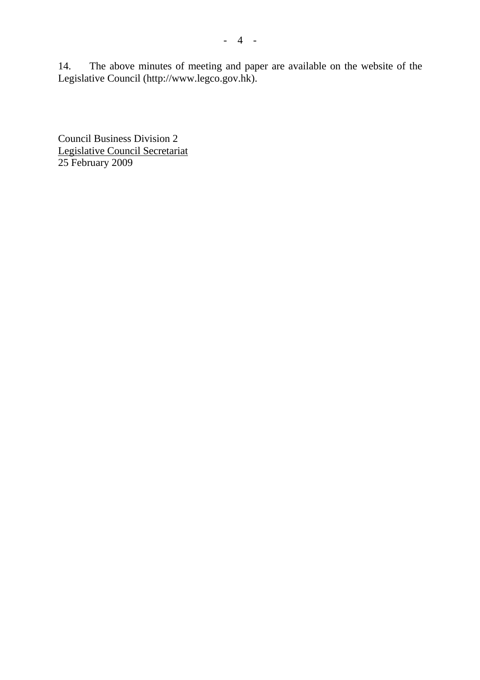14. The above minutes of meeting and paper are available on the website of the Legislative Council (http://www.legco.gov.hk).

Council Business Division 2 Legislative Council Secretariat 25 February 2009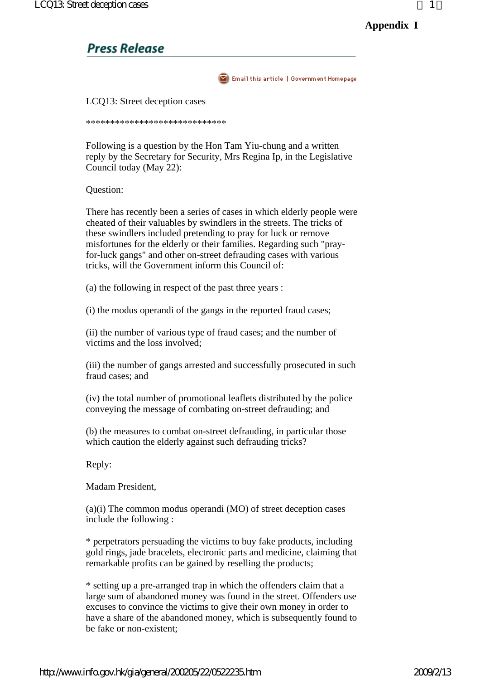## **Press Release**

Email this article | Government Homepage

LCQ13: Street deception cases

\*\*\*\*\*\*\*\*\*\*\*\*\*\*\*\*\*\*\*\*\*\*\*\*\*\*\*\*\*

Following is a question by the Hon Tam Yiu-chung and a written reply by the Secretary for Security, Mrs Regina Ip, in the Legislative Council today (May 22):

Question:

There has recently been a series of cases in which elderly people were cheated of their valuables by swindlers in the streets. The tricks of these swindlers included pretending to pray for luck or remove misfortunes for the elderly or their families. Regarding such "prayfor-luck gangs" and other on-street defrauding cases with various tricks, will the Government inform this Council of:

(a) the following in respect of the past three years :

(i) the modus operandi of the gangs in the reported fraud cases;

(ii) the number of various type of fraud cases; and the number of victims and the loss involved;

(iii) the number of gangs arrested and successfully prosecuted in such fraud cases; and

(iv) the total number of promotional leaflets distributed by the police conveying the message of combating on-street defrauding; and

(b) the measures to combat on-street defrauding, in particular those which caution the elderly against such defrauding tricks?

Reply:

Madam President,

(a)(i) The common modus operandi (MO) of street deception cases include the following :

\* perpetrators persuading the victims to buy fake products, including gold rings, jade bracelets, electronic parts and medicine, claiming that remarkable profits can be gained by reselling the products;

\* setting up a pre-arranged trap in which the offenders claim that a large sum of abandoned money was found in the street. Offenders use excuses to convince the victims to give their own money in order to have a share of the abandoned money, which is subsequently found to be fake or non-existent;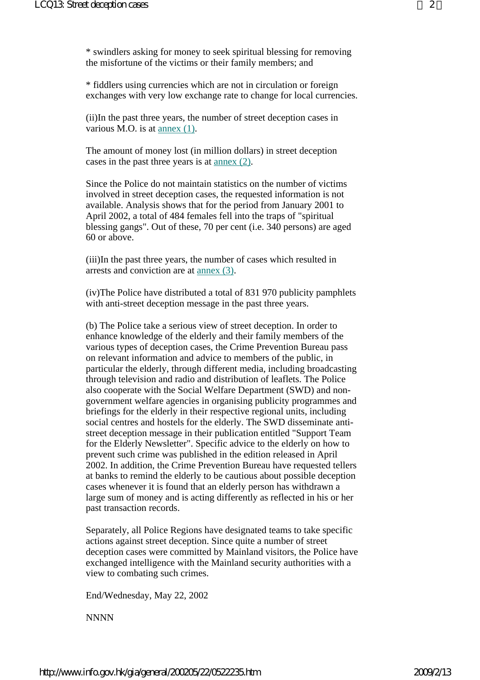\* swindlers asking for money to seek spiritual blessing for removing the misfortune of the victims or their family members; and

\* fiddlers using currencies which are not in circulation or foreign exchanges with very low exchange rate to change for local currencies.

(ii)In the past three years, the number of street deception cases in various M.O. is at annex (1).

The amount of money lost (in million dollars) in street deception cases in the past three years is at annex (2).

Since the Police do not maintain statistics on the number of victims involved in street deception cases, the requested information is not available. Analysis shows that for the period from January 2001 to April 2002, a total of 484 females fell into the traps of "spiritual blessing gangs". Out of these, 70 per cent (i.e. 340 persons) are aged 60 or above.

(iii)In the past three years, the number of cases which resulted in arrests and conviction are at annex (3).

(iv)The Police have distributed a total of 831 970 publicity pamphlets with anti-street deception message in the past three years.

(b) The Police take a serious view of street deception. In order to enhance knowledge of the elderly and their family members of the various types of deception cases, the Crime Prevention Bureau pass on relevant information and advice to members of the public, in particular the elderly, through different media, including broadcasting through television and radio and distribution of leaflets. The Police also cooperate with the Social Welfare Department (SWD) and nongovernment welfare agencies in organising publicity programmes and briefings for the elderly in their respective regional units, including social centres and hostels for the elderly. The SWD disseminate antistreet deception message in their publication entitled "Support Team for the Elderly Newsletter". Specific advice to the elderly on how to prevent such crime was published in the edition released in April 2002. In addition, the Crime Prevention Bureau have requested tellers at banks to remind the elderly to be cautious about possible deception cases whenever it is found that an elderly person has withdrawn a large sum of money and is acting differently as reflected in his or her past transaction records.

Separately, all Police Regions have designated teams to take specific actions against street deception. Since quite a number of street deception cases were committed by Mainland visitors, the Police have exchanged intelligence with the Mainland security authorities with a view to combating such crimes.

End/Wednesday, May 22, 2002

**NNNN**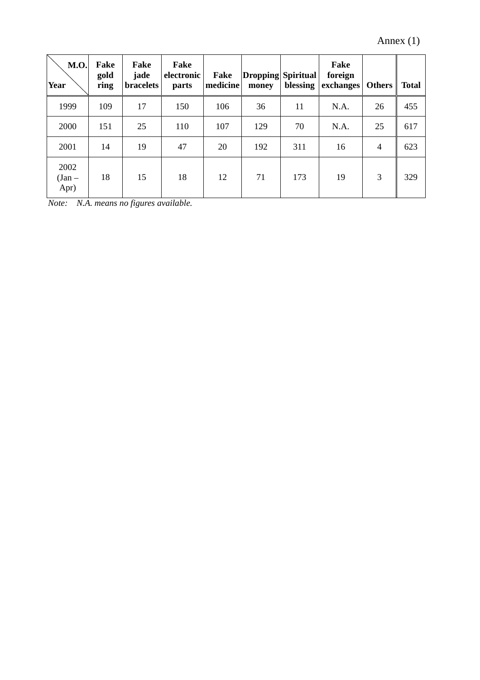Annex (1)

| <b>M.O.</b><br><b>Year</b> | Fake<br>gold<br>ring | Fake<br>jade<br><b>bracelets</b> | Fake<br>electronic<br>parts | Fake<br>medicine | Dropping Spiritual<br>money | blessing | Fake<br>foreign<br>exchanges | <b>Others</b>  | <b>Total</b> |
|----------------------------|----------------------|----------------------------------|-----------------------------|------------------|-----------------------------|----------|------------------------------|----------------|--------------|
| 1999                       | 109                  | 17                               | 150                         | 106              | 36                          | 11       | N.A.                         | 26             | 455          |
| 2000                       | 151                  | 25                               | 110                         | 107              | 129                         | 70       | N.A.                         | 25             | 617          |
| 2001                       | 14                   | 19                               | 47                          | 20               | 192                         | 311      | 16                           | $\overline{4}$ | 623          |
| 2002<br>$(Jan -$<br>Apr)   | 18                   | 15                               | 18                          | 12               | 71                          | 173      | 19                           | 3              | 329          |

*Note: N.A. means no figures available.*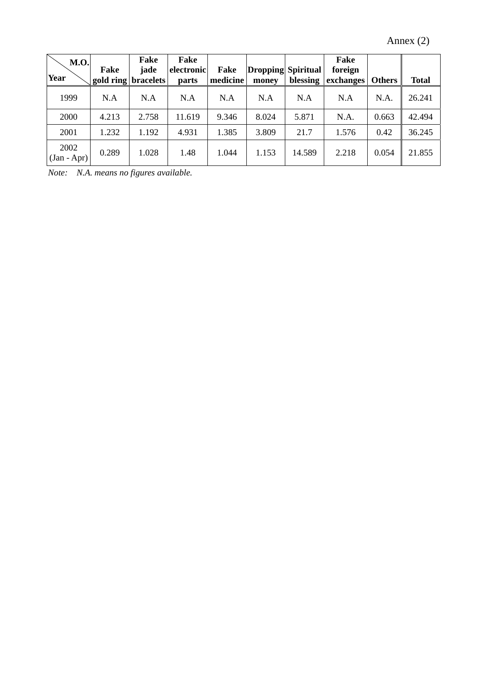| <b>M.O.</b><br>Year   | Fake<br>gold ring bracelets | Fake<br>jade | Fake<br>electronic<br>parts | Fake<br>medicine | Dropping Spiritual<br>money | blessing | Fake<br>foreign<br>exchanges | <b>Others</b> | <b>Total</b> |
|-----------------------|-----------------------------|--------------|-----------------------------|------------------|-----------------------------|----------|------------------------------|---------------|--------------|
| 1999                  | N.A                         | N.A          | N.A                         | N.A              | N.A                         | N.A      | N.A                          | N.A.          | 26.241       |
| 2000                  | 4.213                       | 2.758        | 11.619                      | 9.346            | 8.024                       | 5.871    | N.A.                         | 0.663         | 42.494       |
| 2001                  | 1.232                       | 1.192        | 4.931                       | 1.385            | 3.809                       | 21.7     | 1.576                        | 0.42          | 36.245       |
| 2002<br>$(Jan - Apr)$ | 0.289                       | 1.028        | 1.48                        | 1.044            | 1.153                       | 14.589   | 2.218                        | 0.054         | 21.855       |

*Note: N.A. means no figures available.*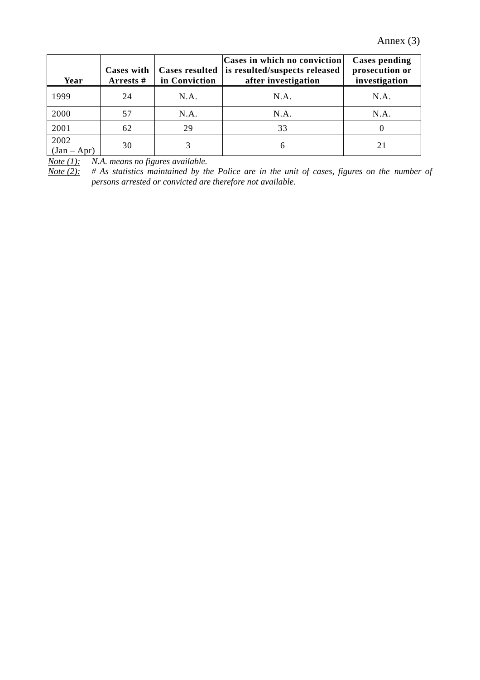Annex (3)

| Year                  | Cases with<br>Arrests # | <b>Cases resulted</b><br>in Conviction | <b>Cases in which no conviction</b><br>is resulted/suspects released<br>after investigation | <b>Cases pending</b><br>prosecution or<br>investigation |
|-----------------------|-------------------------|----------------------------------------|---------------------------------------------------------------------------------------------|---------------------------------------------------------|
| 1999                  | 24                      | N.A.                                   | N.A.                                                                                        | N.A.                                                    |
| 2000                  | 57                      | N.A.                                   | N.A.                                                                                        | N.A.                                                    |
| 2001                  | 62                      | 29                                     | 33                                                                                          |                                                         |
| 2002<br>$(Jan - Apr)$ | 30                      | 3                                      | h                                                                                           |                                                         |

*Note (1): N.A. means no figures available.* 

*Note (2): # As statistics maintained by the Police are in the unit of cases, figures on the number of persons arrested or convicted are therefore not available.*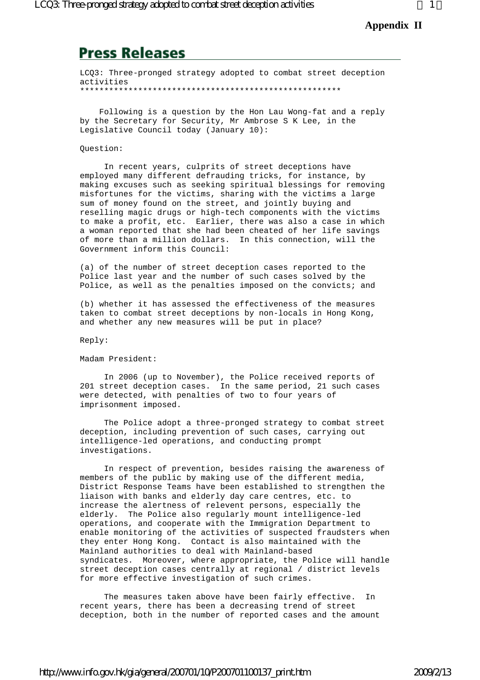# **Press Releases**

LCQ3: Three-pronged strategy adopted to combat street deception activities \*\*\*\*\*\*\*\*\*\*\*\*\*\*\*\*\*\*\*\*\*\*\*\*\*\*\*\*\*\*\*\*\*\*\*\*\*\*\*\*\*\*\*\*\*\*\*\*\*\*\*\*\*\*

 Following is a question by the Hon Lau Wong-fat and a reply by the Secretary for Security, Mr Ambrose S K Lee, in the Legislative Council today (January 10):

#### Question:

 In recent years, culprits of street deceptions have employed many different defrauding tricks, for instance, by making excuses such as seeking spiritual blessings for removing misfortunes for the victims, sharing with the victims a large sum of money found on the street, and jointly buying and reselling magic drugs or high-tech components with the victims to make a profit, etc. Earlier, there was also a case in which a woman reported that she had been cheated of her life savings of more than a million dollars. In this connection, will the Government inform this Council:

(a) of the number of street deception cases reported to the Police last year and the number of such cases solved by the Police, as well as the penalties imposed on the convicts; and

(b) whether it has assessed the effectiveness of the measures taken to combat street deceptions by non-locals in Hong Kong, and whether any new measures will be put in place?

Reply:

Madam President:

 In 2006 (up to November), the Police received reports of 201 street deception cases. In the same period, 21 such cases were detected, with penalties of two to four years of imprisonment imposed.

 The Police adopt a three-pronged strategy to combat street deception, including prevention of such cases, carrying out intelligence-led operations, and conducting prompt investigations.

 In respect of prevention, besides raising the awareness of members of the public by making use of the different media, District Response Teams have been established to strengthen the liaison with banks and elderly day care centres, etc. to increase the alertness of relevent persons, especially the elderly. The Police also regularly mount intelligence-led operations, and cooperate with the Immigration Department to enable monitoring of the activities of suspected fraudsters when they enter Hong Kong. Contact is also maintained with the Mainland authorities to deal with Mainland-based syndicates. Moreover, where appropriate, the Police will handle street deception cases centrally at regional / district levels for more effective investigation of such crimes.

 The measures taken above have been fairly effective. In recent years, there has been a decreasing trend of street deception, both in the number of reported cases and the amount